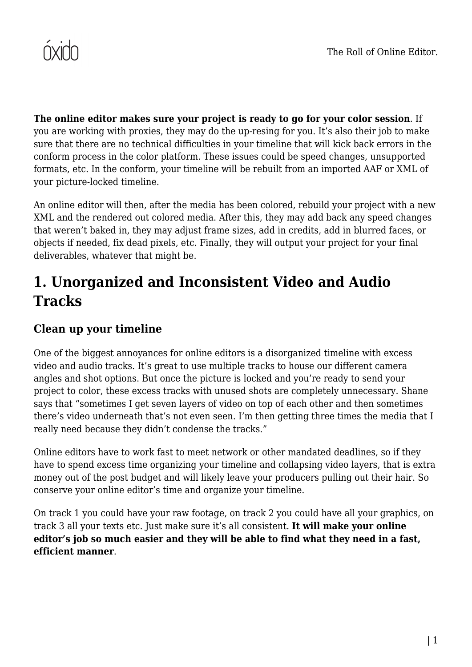

**The online editor makes sure your project is ready to go for your color session**. If you are working with proxies, they may do the up-resing for you. It's also their job to make sure that there are no technical difficulties in your timeline that will kick back errors in the conform process in the color platform. These issues could be speed changes, unsupported formats, etc. In the conform, your timeline will be rebuilt from an imported AAF or XML of your picture-locked timeline.

An online editor will then, after the media has been colored, rebuild your project with a new XML and the rendered out colored media. After this, they may add back any speed changes that weren't baked in, they may adjust frame sizes, add in credits, add in blurred faces, or objects if needed, fix dead pixels, etc. Finally, they will output your project for your final deliverables, whatever that might be.

#### **1. Unorganized and Inconsistent Video and Audio Tracks**

#### **Clean up your timeline**

One of the biggest annoyances for online editors is a disorganized timeline with excess video and audio tracks. It's great to use multiple tracks to house our different camera angles and shot options. But once the picture is locked and you're ready to send your project to color, these excess tracks with unused shots are completely unnecessary. Shane says that "sometimes I get seven layers of video on top of each other and then sometimes there's video underneath that's not even seen. I'm then getting three times the media that I really need because they didn't condense the tracks."

Online editors have to work fast to meet network or other mandated deadlines, so if they have to spend excess time organizing your timeline and collapsing video layers, that is extra money out of the post budget and will likely leave your producers pulling out their hair. So conserve your online editor's time and organize your timeline.

On track 1 you could have your raw footage, on track 2 you could have all your graphics, on track 3 all your texts etc. Just make sure it's all consistent. **It will make your online editor's job so much easier and they will be able to find what they need in a fast, efficient manner**.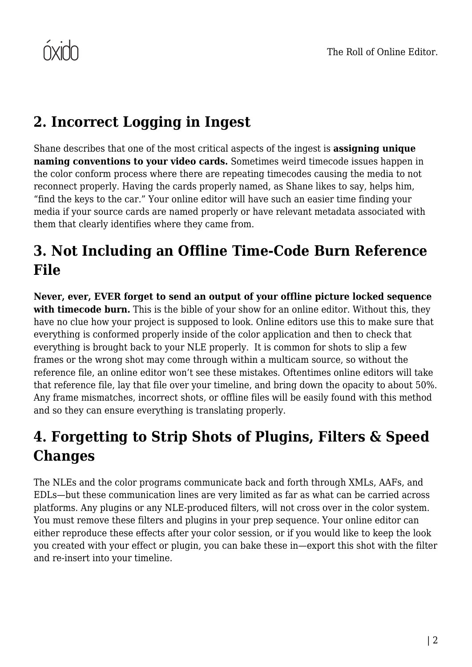# **2. Incorrect Logging in Ingest**

Shane describes that one of the most critical aspects of the ingest is **assigning unique naming conventions to your video cards.** Sometimes weird timecode issues happen in the color conform process where there are repeating timecodes causing the media to not reconnect properly. Having the cards properly named, as Shane likes to say, helps him, "find the keys to the car." Your online editor will have such an easier time finding your media if your source cards are named properly or have relevant metadata associated with them that clearly identifies where they came from.

## **3. Not Including an Offline Time-Code Burn Reference File**

**Never, ever, EVER forget to send an output of your offline picture locked sequence** with timecode burn. This is the bible of your show for an online editor. Without this, they have no clue how your project is supposed to look. Online editors use this to make sure that everything is conformed properly inside of the color application and then to check that everything is brought back to your NLE properly. It is common for shots to slip a few frames or the wrong shot may come through within a multicam source, so without the reference file, an online editor won't see these mistakes. Oftentimes online editors will take that reference file, lay that file over your timeline, and bring down the opacity to about 50%. Any frame mismatches, incorrect shots, or offline files will be easily found with this method and so they can ensure everything is translating properly.

# **4. Forgetting to Strip Shots of Plugins, Filters & Speed Changes**

The NLEs and the color programs communicate back and forth through XMLs, AAFs, and EDLs—but these communication lines are very limited as far as what can be carried across platforms. Any plugins or any NLE-produced filters, will not cross over in the color system. You must remove these filters and plugins in your prep sequence. Your online editor can either reproduce these effects after your color session, or if you would like to keep the look you created with your effect or plugin, you can bake these in—export this shot with the filter and re-insert into your timeline.